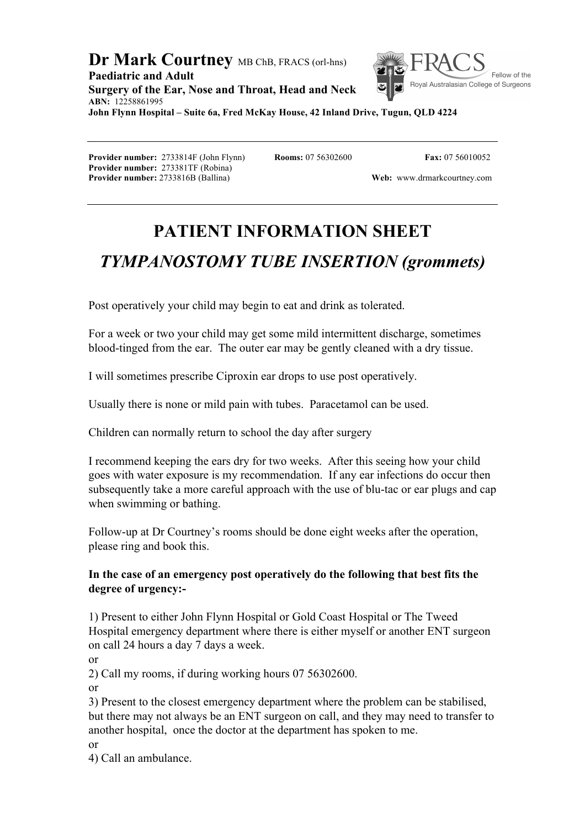#### **Dr Mark Courtney** MB ChB, FRACS (orl-hns) **Paediatric and Adult**  Royal Australasian College of Surgeons **Surgery of the Ear, Nose and Throat, Head and Neck ABN:** 12258861995 **John Flynn Hospital – Suite 6a, Fred McKay House, 42 Inland Drive, Tugun, QLD 4224**

**Provider number:** 2733814F (John Flynn) **Rooms:** 07 56302600 **Fax:** 07 56010052 **Provider number:** 273381TF (Robina)

Fellow of the

**Provider number:** 2733816B (Ballina) **Web: Web:** www.drmarkcourtney.com

# **PATIENT INFORMATION SHEET**

# *TYMPANOSTOMY TUBE INSERTION (grommets)*

Post operatively your child may begin to eat and drink as tolerated.

For a week or two your child may get some mild intermittent discharge, sometimes blood-tinged from the ear. The outer ear may be gently cleaned with a dry tissue.

I will sometimes prescribe Ciproxin ear drops to use post operatively.

Usually there is none or mild pain with tubes. Paracetamol can be used.

Children can normally return to school the day after surgery

I recommend keeping the ears dry for two weeks. After this seeing how your child goes with water exposure is my recommendation. If any ear infections do occur then subsequently take a more careful approach with the use of blu-tac or ear plugs and cap when swimming or bathing.

Follow-up at Dr Courtney's rooms should be done eight weeks after the operation, please ring and book this.

### **In the case of an emergency post operatively do the following that best fits the degree of urgency:-**

1) Present to either John Flynn Hospital or Gold Coast Hospital or The Tweed Hospital emergency department where there is either myself or another ENT surgeon on call 24 hours a day 7 days a week.

or

2) Call my rooms, if during working hours 07 56302600.

or

3) Present to the closest emergency department where the problem can be stabilised, but there may not always be an ENT surgeon on call, and they may need to transfer to another hospital, once the doctor at the department has spoken to me.

or

4) Call an ambulance.